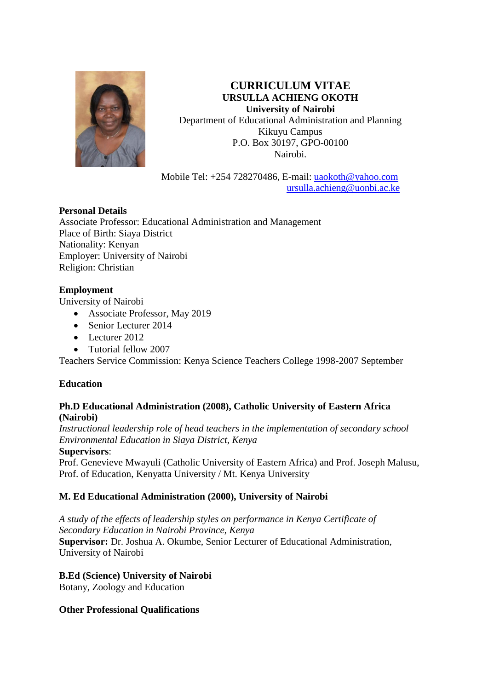

**CURRICULUM VITAE URSULLA ACHIENG OKOTH University of Nairobi** Department of Educational Administration and Planning Kikuyu Campus P.O. Box 30197, GPO-00100 Nairobi.

Mobile Tel: +254 728270486, E-mail: [uaokoth@yahoo.com](mailto:uaokoth@yahoo.com) [ursulla.achieng@uonbi.ac.ke](mailto:ursulla.achieng@uonbi.ac.ke)

# **Personal Details**

Associate Professor: Educational Administration and Management Place of Birth: Siaya District Nationality: Kenyan Employer: University of Nairobi Religion: Christian

# **Employment**

University of Nairobi

- Associate Professor, May 2019
- Senior Lecturer 2014
- Lecturer 2012
- Tutorial fellow 2007

Teachers Service Commission: Kenya Science Teachers College 1998-2007 September

# **Education**

#### **Ph.D Educational Administration (2008), Catholic University of Eastern Africa (Nairobi)**

*Instructional leadership role of head teachers in the implementation of secondary school Environmental Education in Siaya District, Kenya*

#### **Supervisors**:

Prof. Genevieve Mwayuli (Catholic University of Eastern Africa) and Prof. Joseph Malusu, Prof. of Education, Kenyatta University / Mt. Kenya University

# **M. Ed Educational Administration (2000), University of Nairobi**

*A study of the effects of leadership styles on performance in Kenya Certificate of Secondary Education in Nairobi Province, Kenya* **Supervisor:** Dr. Joshua A. Okumbe, Senior Lecturer of Educational Administration, University of Nairobi

#### **B.Ed (Science) University of Nairobi**

Botany, Zoology and Education

# **Other Professional Qualifications**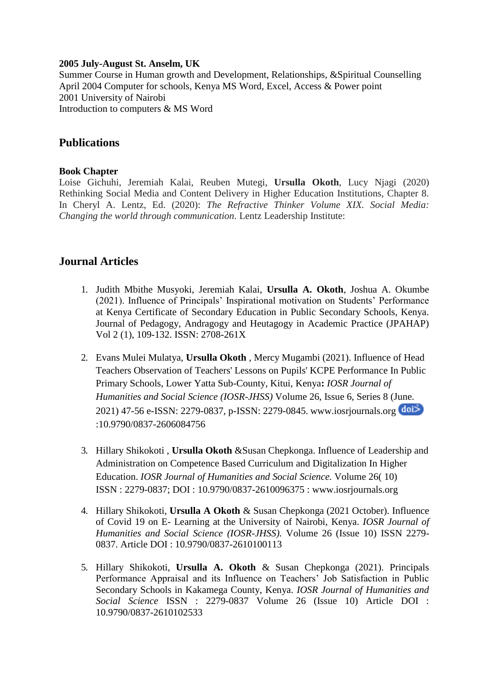#### **2005 July-August St. Anselm, UK**

Summer Course in Human growth and Development, Relationships, &Spiritual Counselling April 2004 Computer for schools, Kenya MS Word, Excel, Access & Power point 2001 University of Nairobi Introduction to computers & MS Word

# **Publications**

#### **Book Chapter**

Loise Gichuhi, Jeremiah Kalai, Reuben Mutegi, **Ursulla Okoth**, Lucy Njagi (2020) Rethinking Social Media and Content Delivery in Higher Education Institutions, Chapter 8. In Cheryl A. Lentz, Ed. (2020): *The Refractive Thinker Volume XIX. Social Media: Changing the world through communication*. Lentz Leadership Institute:

# **Journal Articles**

- 1. Judith Mbithe Musyoki, Jeremiah Kalai, **Ursulla A. Okoth**, Joshua A. Okumbe (2021). Influence of Principals' Inspirational motivation on Students' Performance at Kenya Certificate of Secondary Education in Public Secondary Schools, Kenya. Journal of Pedagogy, Andragogy and Heutagogy in Academic Practice (JPAHAP) Vol 2 (1), 109-132. ISSN: 2708-261X
- 2. Evans Mulei Mulatya, **Ursulla Okoth** , Mercy Mugambi (2021). Influence of Head Teachers Observation of Teachers' Lessons on Pupils' KCPE Performance In Public Primary Schools, Lower Yatta Sub-County, Kitui, Kenya**:** *IOSR Journal of Humanities and Social Science (IOSR-JHSS)* Volume 26, Issue 6, Series 8 (June. 2021) 47-56 e-ISSN: 2279-0837, p-ISSN: 2279-0845. [www.iosrjournals.org](http://www.iosrjournals.org/)  :10.9790/0837-2606084756
- 3. Hillary Shikokoti , **Ursulla Okoth** &Susan Chepkonga. Influence of Leadership and Administration on Competence Based Curriculum and Digitalization In Higher Education. *IOSR Journal of Humanities and Social Science.* Volume 26( 10) ISSN : 2279-0837; DOI : 10.9790/0837-2610096375 : [www.iosrjournals.org](http://www.iosrjournals.org/)
- 4. Hillary Shikokoti, **Ursulla A Okoth** & Susan Chepkonga (2021 October). Influence of Covid 19 on E- Learning at the University of Nairobi, Kenya. *IOSR Journal of Humanities and Social Science (IOSR-JHSS).* Volume 26 (Issue 10) ISSN 2279- 0837. Article DOI : 10.9790/0837-2610100113
- 5. Hillary Shikokoti, **Ursulla A. Okoth** & Susan Chepkonga (2021). Principals Performance Appraisal and its Influence on Teachers' Job Satisfaction in Public Secondary Schools in Kakamega County, Kenya. *IOSR Journal of Humanities and Social Science* ISSN : 2279-0837 Volume 26 (Issue 10) Article DOI : 10.9790/0837-2610102533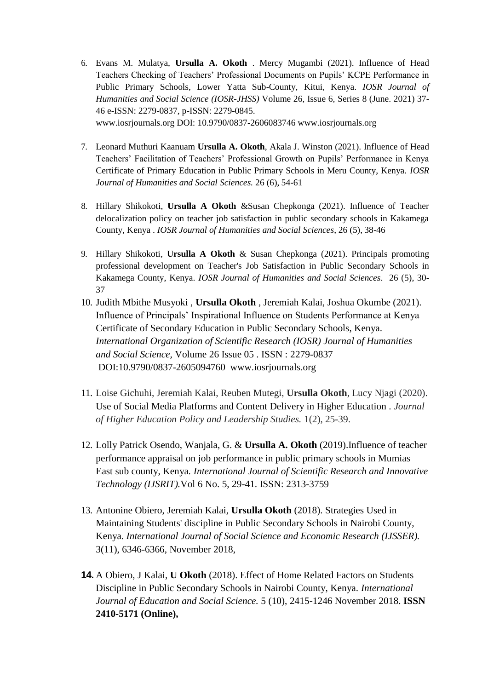- 6. Evans M. Mulatya, **Ursulla A. Okoth** . Mercy Mugambi (2021). Influence of Head Teachers Checking of Teachers' Professional Documents on Pupils' KCPE Performance in Public Primary Schools, Lower Yatta Sub-County, Kitui, Kenya. *IOSR Journal of Humanities and Social Science (IOSR-JHSS)* Volume 26, Issue 6, Series 8 (June. 2021) 37- 46 e-ISSN: 2279-0837, p-ISSN: 2279-0845. [www.iosrjournals.org D](http://www.iosrjournals.org/)OI: 10.9790/0837-2606083746 [www.iosrjournals.org](http://www.iosrjournals.org/)
- 7. Leonard Muthuri Kaanuam **Ursulla A. Okoth**, Akala J. Winston (2021). Influence of Head Teachers' Facilitation of Teachers' Professional Growth on Pupils' Performance in Kenya Certificate of Primary Education in Public Primary Schools in Meru County, Kenya. *IOSR Journal of Humanities and Social Sciences.* 26 (6), 54-61
- 8. Hillary Shikokoti, **Ursulla A Okoth** &Susan Chepkonga (2021). Influence of Teacher delocalization policy on teacher job satisfaction in public secondary schools in Kakamega County, Kenya . *IOSR Journal of Humanities and Social Sciences*, 26 (5), 38-46
- 9. Hillary Shikokoti, **Ursulla A Okoth** & Susan Chepkonga (2021). Principals promoting professional development on Teacher's Job Satisfaction in Public Secondary Schools in Kakamega County, Kenya. *IOSR Journal of Humanities and Social Sciences*. 26 (5), 30- 37
- 10. Judith Mbithe Musyoki , **Ursulla Okoth** , Jeremiah Kalai, Joshua Okumbe (2021). Influence of Principals' Inspirational Influence on Students Performance at Kenya Certificate of Secondary Education in Public Secondary Schools, Kenya. *International Organization of Scientific Research (IOSR) Journal of Humanities and Social Science,* Volume 26 Issue 05 . ISSN : 2279-0837 DOI:10.9790/0837-2605094760 [www.iosrjournals.org](http://www.iosrjournals.org/)
- 11. Loise Gichuhi, Jeremiah Kalai, Reuben Mutegi, **Ursulla Okoth**, Lucy Njagi (2020). Use of Social Media Platforms and Content Delivery in Higher Education . *Journal of Higher Education Policy and Leadership Studies.* 1(2), 25-39.
- 12. Lolly Patrick Osendo, Wanjala, G. & **Ursulla A. Okoth** (2019).Influence of teacher performance appraisal on job performance in public primary schools in Mumias East sub county, Kenya*. International Journal of Scientific Research and Innovative Technology (IJSRIT).*Vol 6 No. 5, 29-41. ISSN: 2313-3759
- 13. Antonine Obiero, Jeremiah Kalai, **Ursulla Okoth** (2018). Strategies Used in Maintaining Students' discipline in Public Secondary Schools in Nairobi County, Kenya. *International Journal of Social Science and Economic Research (IJSSER).*  3(11), 6346-6366, November 2018,
- **14.** A Obiero, J Kalai, **U Okoth** (2018). Effect of Home Related Factors on Students Discipline in Public Secondary Schools in Nairobi County, Kenya*. International Journal of Education and Social Science.* 5 (10), 2415-1246 November 2018. **ISSN 2410-5171 (Online),**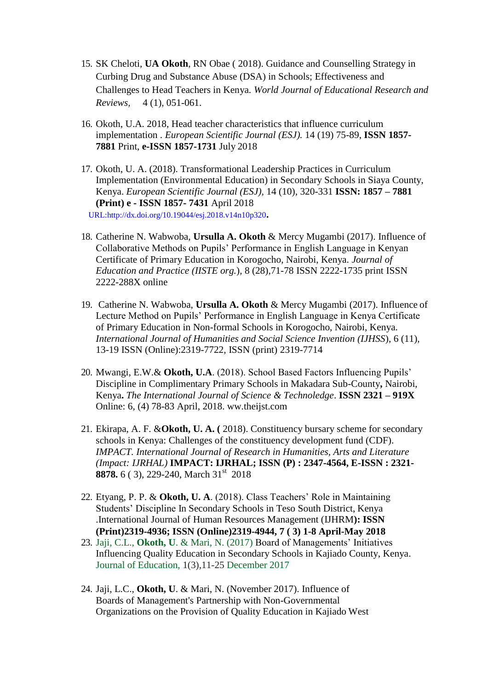- 15. SK Cheloti, **UA Okoth**, RN Obae ( 2018). Guidance and Counselling Strategy in Curbing Drug and Substance Abuse (DSA) in Schools; Effectiveness and Challenges to Head Teachers in Kenya. *World Journal of Educational Research and Reviews,* 4 (1), 051-061.
- 16. Okoth, U.A. 2018, Head teacher characteristics that influence curriculum implementation . *European Scientific Journal (ESJ).* 14 (19) 75-89, **ISSN 1857- 7881** Print, **e-ISSN 1857-1731** July 2018
- 17. Okoth, U. A. (2018). Transformational Leadership Practices in Curriculum Implementation (Environmental Education) in Secondary Schools in Siaya County, Kenya. *European Scientific Journal (ESJ),* 14 (10), 320-331 **ISSN: 1857 – 7881 (Print) e - ISSN 1857- 7431** April 2018

URL[:http://dx.doi.org/10.19044/esj.2018.v14n10p320](http://dx.doi.org/10.19044/esj.2018.v14n10p320)**.**

- 18. Catherine N. Wabwoba, **Ursulla A. Okoth** & Mercy Mugambi (2017). Influence of Collaborative Methods on Pupils' Performance in English Language in Kenyan Certificate of Primary Education in Korogocho, Nairobi, Kenya. *Journal of Education and Practice (IISTE org.*), 8 (28),71-78 ISSN 2222-1735 print ISSN 2222-288X online
- 19. Catherine N. Wabwoba, **Ursulla A. Okoth** & Mercy Mugambi (2017). Influence of Lecture Method on Pupils' Performance in English Language in Kenya Certificate of Primary Education in Non-formal Schools in Korogocho, Nairobi, Kenya. *International Journal of Humanities and Social Science Invention (IJHSS*), 6 (11), 13-19 ISSN (Online):2319-7722, ISSN (print) 2319-7714
- 20. Mwangi, E.W.& **Okoth, U.A**. (2018). School Based Factors Influencing Pupils' Discipline in Complimentary Primary Schools in Makadara Sub-County**,** Nairobi, Kenya**.** *The International Journal of Science & Technoledge*. **ISSN 2321 – 919X**  Online: 6, (4) 78-83 April, 2018. ww.theijst.com
- 21. Ekirapa, A. F. &**Okoth, U. A. (** 2018). Constituency bursary scheme for secondary schools in Kenya: Challenges of the constituency development fund (CDF). *IMPACT. International Journal of Research in Humanities, Arts and Literature (Impact: IJRHAL)* **IMPACT: IJRHAL; ISSN (P) : 2347-4564, E-ISSN : 2321- 8878.** 6 ( 3), 229-240, March 31<sup>st</sup> 2018
- 22. Etyang, P. P. & **Okoth, U. A**. (2018). Class Teachers' Role in Maintaining Students' Discipline In Secondary Schools in Teso South District, Kenya .International Journal of Human Resources Management (IJHRM**): ISSN (Print)2319-4936; ISSN (Online)2319-4944, 7 ( 3) 1-8 April-May 2018**
- 23. Jaji, C.L., **[Okoth,](https://scholar.google.com/citations?user=b8p5n0YAAAAJ&hl=en&oi=sra) U**. & Mari, N. (2017) Board of Managements' Initiatives Influencing Quality Education in Secondary Schools in Kajiado County, Kenya. Journal of Education, 1(3),11-25 December 2017
- 24. Jaji, L.C., **[Okoth,](https://scholar.google.com/citations?user=b8p5n0YAAAAJ&hl=en&oi=sra) U**. & Mari, N. (November 2017). [Influence of](http://scholar.google.com/scholar_url?url=https%3A%2F%2Fstratfordjournals.org%2Fjournals%2Findex.php%2Fjournal-of-education%2Farticle%2Fview%2F11&hl=en&sa=T&ct=res&cd=15&d=3217438156079042455&ei=HhtkW87jB4_emgGgn7bIAQ&scisig=AAGBfm2ZT_C4Q9OVDxNL8FS8A6zHom-gbA&nossl=1&ws=1424x658) Boards of Management's Partnership with Non-Governmenta[l](http://scholar.google.com/scholar_url?url=https%3A%2F%2Fstratfordjournals.org%2Fjournals%2Findex.php%2Fjournal-of-education%2Farticle%2Fview%2F11&hl=en&sa=T&ct=res&cd=15&d=3217438156079042455&ei=HhtkW87jB4_emgGgn7bIAQ&scisig=AAGBfm2ZT_C4Q9OVDxNL8FS8A6zHom-gbA&nossl=1&ws=1424x658) [Organizations on the Provision of Quality Education in Kajiado](http://scholar.google.com/scholar_url?url=https%3A%2F%2Fstratfordjournals.org%2Fjournals%2Findex.php%2Fjournal-of-education%2Farticle%2Fview%2F11&hl=en&sa=T&ct=res&cd=15&d=3217438156079042455&ei=HhtkW87jB4_emgGgn7bIAQ&scisig=AAGBfm2ZT_C4Q9OVDxNL8FS8A6zHom-gbA&nossl=1&ws=1424x658) West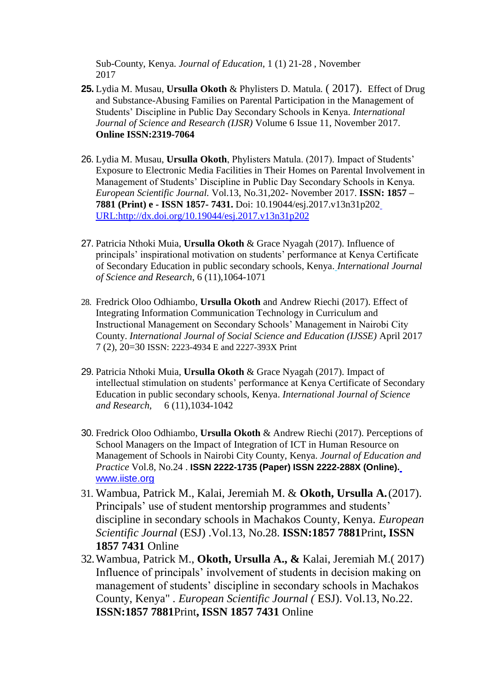[Sub-County, K](http://scholar.google.com/scholar_url?url=https%3A%2F%2Fstratfordjournals.org%2Fjournals%2Findex.php%2Fjournal-of-education%2Farticle%2Fview%2F11&hl=en&sa=T&ct=res&cd=15&d=3217438156079042455&ei=HhtkW87jB4_emgGgn7bIAQ&scisig=AAGBfm2ZT_C4Q9OVDxNL8FS8A6zHom-gbA&nossl=1&ws=1424x658)enya. *Journal of Education*, 1 (1) 21-28 , November 2017

- **25.** Lydia M. Musau, **Ursulla Okoth** & Phylisters D. Matula*.* ( 2017). Effect of Drug and Substance-Abusing Families on Parental Participation in the Management of Students' Discipline in Public Day Secondary Schools in Kenya*. International Journal of Science and Research (IJSR)* Volume 6 Issue 11, November 2017. **Online ISSN:2319-7064**
- 26. Lydia M. Musau, **Ursulla Okoth**, Phylisters Matula. (2017). Impact of Students' Exposure to Electronic Media Facilities in Their Homes on Parental Involvement in Management of Students' Discipline in Public Day Secondary Schools in Kenya. *European Scientific Journal.* Vol.13, No.31,202- November 2017. **ISSN: 1857 – 7881 (Print) e - ISSN 1857- 7431.** Doi: 10.19044/esj.2017.v13n31p202 [URL:http://dx.doi.org/10.19044/esj.2017.v13n31p202](http://dx.doi.org/10.19044/esj.2017.v13n31p202)
- 27. Patricia Nthoki Muia, **Ursulla Okoth** & Grace Nyagah (2017). Influence of principals' inspirational motivation on students' performance at Kenya Certificate of Secondary Education in public secondary schools, Kenya. *International Journal of Science and Research*, 6 (11),1064-1071
- 28. Fredrick Oloo Odhiambo, **Ursulla Okoth** and Andrew Riechi (2017). Effect of Integrating Information Communication Technology in Curriculum and Instructional Management on Secondary Schools' Management in Nairobi City County. *International Journal of Social Science and Education (IJSSE)* April 2017 7 (2), 20=30 ISSN: 2223-4934 E and 2227-393X Print
- 29. Patricia Nthoki Muia, **Ursulla Okoth** & Grace Nyagah (2017). Impact of intellectual stimulation on students' performance at Kenya Certificate of Secondary Education in public secondary schools, Kenya. *International Journal of Science and Research*, 6 (11),1034-1042
- 30. Fredrick Oloo Odhiambo, **Ursulla Okoth** & Andrew Riechi (2017). Perceptions of School Managers on the Impact of Integration of ICT in Human Resource on Management of Schools in Nairobi City County, Kenya. *Journal of Education and Practice* Vol.8, No.24 . **ISSN 2222-1735 (Paper) ISSN 2222-288X (Online).** [www.iiste.org](http://www.iiste.org/)
- 31. Wambua, Patrick M., Kalai, Jeremiah M. & **Okoth, Ursulla A.**(2017). Principals' use of student mentorship programmes and students' discipline in secondary schools in Machakos County, Kenya. *European Scientific Journal* (ESJ) .Vol.13, No.28. **ISSN:1857 7881**Print**, ISSN 1857 7431** Online
- 32.Wambua, Patrick M., **Okoth, Ursulla A., &** Kalai, Jeremiah M.( 2017) Influence of principals' involvement of students in decision making on management of students' discipline in secondary schools in Machakos County, Kenya" *. European Scientific Journal (* ESJ). Vol.13, No.22. **ISSN:1857 7881**Print**, ISSN 1857 7431** Online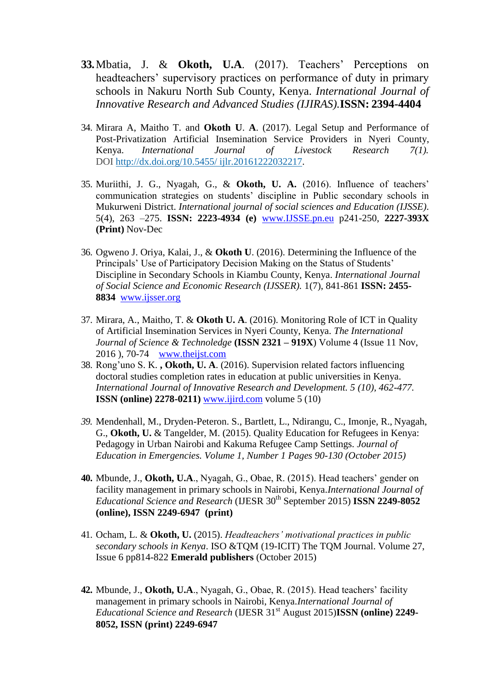- **33.**Mbatia, J. & **Okoth, U.A**. (2017). Teachers' Perceptions on headteachers' supervisory practices on performance of duty in primary schools in Nakuru North Sub County, Kenya. *International Journal of Innovative Research and Advanced Studies (IJIRAS).***ISSN: 2394-4404**
- 34. Mirara A, Maitho T. and **Okoth U**. **A**. (2017). Legal Setup and Performance of Post-Privatization Artificial Insemination Service Providers in Nyeri County, Kenya. *International Journal of Livestock Research 7(1).*  DOI [http://dx.doi.org/10.5455/](http://dx.doi.org/10.5455/ijlr.20161222032217) ijlr.20161222032217.
- 35. Muriithi, J. G., Nyagah, G., & **Okoth, U. A.** (2016). Influence of teachers' communication strategies on students' discipline in Public secondary schools in Mukurweni District. *International journal of social sciences and Education (IJSSE)*. 5(4), 263 –275. **ISSN: 2223-4934 (e)** [www.IJSSE.pn.eu](http://www.ijsse.pn.eu/) p241-250, **2227-393X (Print)** Nov-Dec
- 36. Ogweno J. Oriya, Kalai, J., & **Okoth U**. (2016). Determining the Influence of the Principals' Use of Participatory Decision Making on the Status of Students' Discipline in Secondary Schools in Kiambu County, Kenya. *International Journal of Social Science and Economic Research (IJSSER).* 1(7), 841-861 **ISSN: 2455- 8834** [www.ijsser.org](http://www.ijsser.org/)
- 37. Mirara, A., Maitho, T. & **Okoth U. A**. (2016). Monitoring Role of ICT in Quality of Artificial Insemination Services in Nyeri County, Kenya. *The International Journal of Science & Technoledge* **(ISSN 2321 – 919X**) Volume 4 (Issue 11 Nov, 2016 ), 70-74 [www.theijst.com](http://www.theijst.com/)
- 38. Rong'uno S. K. **, Okoth, U. A**. (2016). Supervision related factors influencing doctoral studies completion rates in education at public universities in Kenya. *International Journal of Innovative Research and Development. 5 (10), 462-477.*  **ISSN (online) 2278-0211)** [www.ijird.com](http://www.ijird.com/) volume 5 (10)
- *39.* Mendenhall, M., Dryden-Peteron. S., Bartlett, L., Ndirangu, C., Imonje, R., Nyagah, G., **Okoth, U.** & Tangelder, M. (2015). Quality Education for Refugees in Kenya: Pedagogy in Urban Nairobi and Kakuma Refugee Camp Settings. *Journal of Education in Emergencies. Volume 1, Number 1 Pages 90-130 (October 2015)*
- **40.** Mbunde, J., **Okoth, U.A**., Nyagah, G., Obae, R. (2015). Head teachers' gender on facility management in primary schools in Nairobi, Kenya.*International Journal of Educational Science and Research* (IJESR 30th September 2015) **ISSN 2249-8052 (online), ISSN 2249-6947 (print)**
- 41. Ocham, L. & **Okoth, U.** (2015). *Headteachers' motivational practices in public secondary schools in Kenya*. ISO &TQM (19-ICIT) The TQM Journal. Volume 27, Issue 6 pp814-822 **Emerald publishers** (October 2015)
- **42.** Mbunde, J., **Okoth, U.A**., Nyagah, G., Obae, R. (2015). Head teachers' facility management in primary schools in Nairobi, Kenya.*International Journal of Educational Science and Research* (IJESR 31<sup>st</sup> August 2015)**ISSN (online) 2249-8052, ISSN (print) 2249-6947**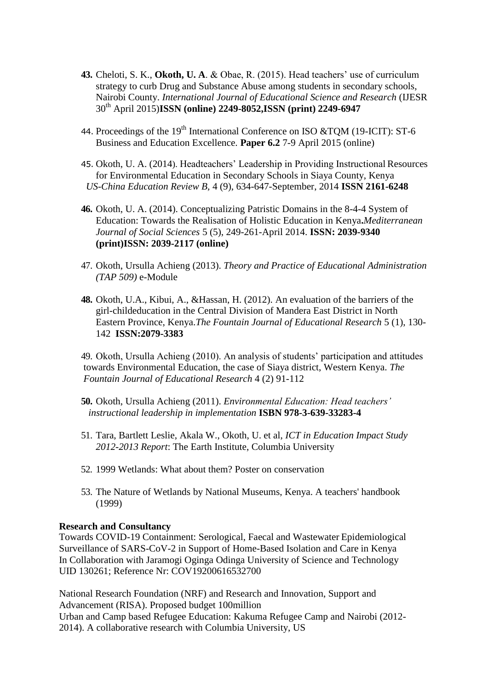- **43.** Cheloti, S. K., **Okoth, U. A**. & Obae, R. (2015). Head teachers' use of curriculum strategy to curb Drug and Substance Abuse among students in secondary schools, Nairobi County. *International Journal of Educational Science and Research* (IJESR 30th April 2015)**ISSN (online) 2249-8052,ISSN (print) 2249-6947**
- 44. Proceedings of the 19<sup>th</sup> International Conference on ISO &TQM (19-ICIT): ST-6 Business and Education Excellence. **Paper 6.2** 7-9 April 2015 (online)
- 45. Okoth, U. A. (2014). Headteachers' Leadership in Providing Instructional Resources for Environmental Education in Secondary Schools in Siaya County, Kenya *US-China Education Review B,* 4 (9), 634-647-September, 2014 **ISSN 2161-6248**
- **46.** Okoth, U. A. (2014). Conceptualizing Patristic Domains in the 8-4-4 System of Education: Towards the Realisation of Holistic Education in Kenya**.***Mediterranean Journal of Social Sciences* 5 (5), 249-261-April 2014. **ISSN: 2039-9340 (print)ISSN: 2039-2117 (online)**
- 47. Okoth, Ursulla Achieng (2013). *Theory and Practice of Educational Administration (TAP 509)* e-Module
- **48.** Okoth, U.A., Kibui, A., &Hassan, H. (2012). An evaluation of the barriers of the girl-childeducation in the Central Division of Mandera East District in North Eastern Province, Kenya.*The Fountain Journal of Educational Research* 5 (1), 130- 142 **ISSN:2079-3383**

49. Okoth, Ursulla Achieng (2010). An analysis of students' participation and attitudes towards Environmental Education, the case of Siaya district, Western Kenya. *The Fountain Journal of Educational Research* 4 (2) 91-112

**50.** Okoth, Ursulla Achieng (2011). *Environmental Education: Head teachers' instructional leadership in implementation* **ISBN 978-3-639-33283-4**

- 51. Tara, Bartlett Leslie, Akala W., Okoth, U. et al, *ICT in Education Impact Study 2012-2013 Report*: The Earth Institute, Columbia University
- 52. 1999 Wetlands: What about them? Poster on conservation
- 53. The Nature of Wetlands by National Museums, Kenya. A teachers' handbook (1999)

#### **Research and Consultancy**

Towards COVID-19 Containment: Serological, Faecal and Wastewater Epidemiological Surveillance of SARS-CoV-2 in Support of Home-Based Isolation and Care in Kenya In Collaboration with Jaramogi Oginga Odinga University of Science and Technology UID 130261; Reference Nr: COV19200616532700

National Research Foundation (NRF) and Research and Innovation, Support and Advancement (RISA). Proposed budget 100million Urban and Camp based Refugee Education: Kakuma Refugee Camp and Nairobi (2012- 2014). A collaborative research with Columbia University, US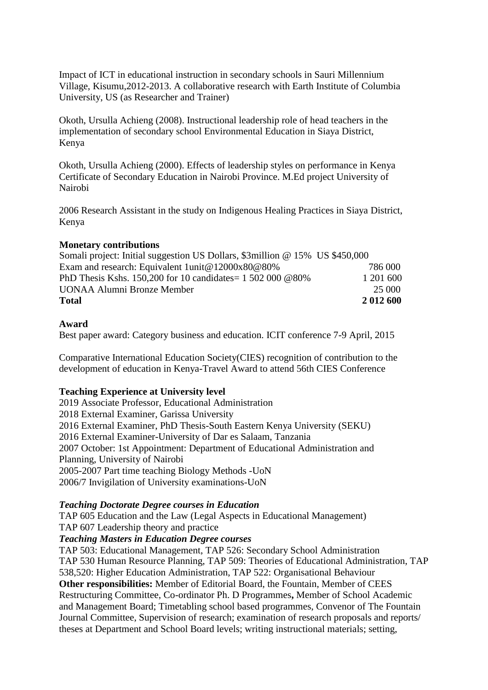Impact of ICT in educational instruction in secondary schools in Sauri Millennium Village, Kisumu,2012-2013. A collaborative research with Earth Institute of Columbia University, US (as Researcher and Trainer)

Okoth, Ursulla Achieng (2008). Instructional leadership role of head teachers in the implementation of secondary school Environmental Education in Siaya District, Kenya

Okoth, Ursulla Achieng (2000). Effects of leadership styles on performance in Kenya Certificate of Secondary Education in Nairobi Province. M.Ed project University of Nairobi

2006 Research Assistant in the study on Indigenous Healing Practices in Siaya District, Kenya

#### **Monetary contributions**

| Somali project: Initial suggestion US Dollars, \$3 million @ 15% US \$450,000 |           |
|-------------------------------------------------------------------------------|-----------|
| Exam and research: Equivalent 1unit@12000x80@80%                              | 786 000   |
| PhD Thesis Kshs. 150,200 for 10 candidates = $15020000080\%$                  | 1 201 600 |
| UONAA Alumni Bronze Member                                                    | 25 000    |
| <b>Total</b>                                                                  | 2 012 600 |

#### **Award**

Best paper award: Category business and education. ICIT conference 7-9 April, 2015

Comparative International Education Society(CIES) recognition of contribution to the development of education in Kenya-Travel Award to attend 56th CIES Conference

#### **Teaching Experience at University level**

2019 Associate Professor, Educational Administration 2018 External Examiner, Garissa University 2016 External Examiner, PhD Thesis-South Eastern Kenya University (SEKU) 2016 External Examiner-University of Dar es Salaam, Tanzania 2007 October: 1st Appointment: Department of Educational Administration and Planning, University of Nairobi 2005-2007 Part time teaching Biology Methods -UoN 2006/7 Invigilation of University examinations-UoN

#### *Teaching Doctorate Degree courses in Education*

TAP 605 Education and the Law (Legal Aspects in Educational Management)

TAP 607 Leadership theory and practice

#### *Teaching Masters in Education Degree courses*

TAP 503: Educational Management, TAP 526: Secondary School Administration TAP 530 Human Resource Planning, TAP 509: Theories of Educational Administration, TAP 538,520: Higher Education Administration, TAP 522: Organisational Behaviour **Other responsibilities:** Member of Editorial Board, the Fountain, Member of CEES Restructuring Committee, Co-ordinator Ph. D Programmes**,** Member of School Academic and Management Board; Timetabling school based programmes, Convenor of The Fountain Journal Committee, Supervision of research; examination of research proposals and reports/ theses at Department and School Board levels; writing instructional materials; setting,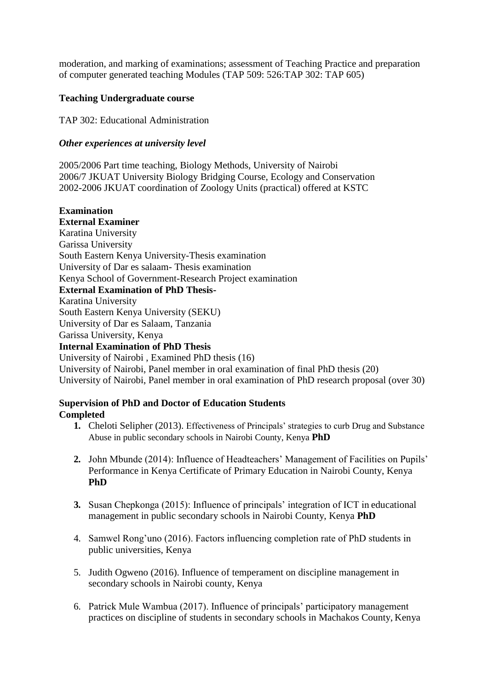moderation, and marking of examinations; assessment of Teaching Practice and preparation of computer generated teaching Modules (TAP 509: 526:TAP 302: TAP 605)

# **Teaching Undergraduate course**

TAP 302: Educational Administration

#### *Other experiences at university level*

2005/2006 Part time teaching, Biology Methods, University of Nairobi 2006/7 JKUAT University Biology Bridging Course, Ecology and Conservation 2002-2006 JKUAT coordination of Zoology Units (practical) offered at KSTC

**Examination External Examiner**  Karatina University Garissa University South Eastern Kenya University-Thesis examination University of Dar es salaam- Thesis examination Kenya School of Government-Research Project examination

#### **External Examination of PhD Thesis-**

Karatina University

South Eastern Kenya University (SEKU)

University of Dar es Salaam, Tanzania

Garissa University, Kenya

#### **Internal Examination of PhD Thesis**

University of Nairobi , Examined PhD thesis (16) University of Nairobi, Panel member in oral examination of final PhD thesis (20) University of Nairobi, Panel member in oral examination of PhD research proposal (over 30)

#### **Supervision of PhD and Doctor of Education Students Completed**

- **1.** Cheloti Selipher (2013). Effectiveness of Principals' strategies to curb Drug and Substance Abuse in public secondary schools in Nairobi County, Kenya **PhD**
- **2.** John Mbunde (2014): Influence of Headteachers' Management of Facilities on Pupils' Performance in Kenya Certificate of Primary Education in Nairobi County, Kenya **PhD**
- **3.** Susan Chepkonga (2015): Influence of principals' integration of ICT in educational management in public secondary schools in Nairobi County, Kenya **PhD**
- 4. Samwel Rong'uno (2016). Factors influencing completion rate of PhD students in public universities, Kenya
- 5. Judith Ogweno (2016). Influence of temperament on discipline management in secondary schools in Nairobi county, Kenya
- 6. Patrick Mule Wambua (2017). Influence of principals' participatory management practices on discipline of students in secondary schools in Machakos County, Kenya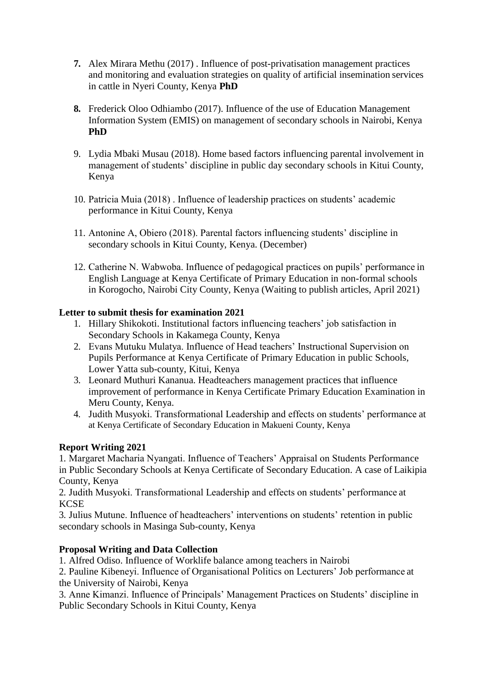- **7.** Alex Mirara Methu (2017) . Influence of post-privatisation management practices and monitoring and evaluation strategies on quality of artificial insemination services in cattle in Nyeri County, Kenya **PhD**
- **8.** Frederick Oloo Odhiambo (2017). Influence of the use of Education Management Information System (EMIS) on management of secondary schools in Nairobi, Kenya **PhD**
- 9. Lydia Mbaki Musau (2018). Home based factors influencing parental involvement in management of students' discipline in public day secondary schools in Kitui County, Kenya
- 10. Patricia Muia (2018) . Influence of leadership practices on students' academic performance in Kitui County, Kenya
- 11. Antonine A, Obiero (2018). Parental factors influencing students' discipline in secondary schools in Kitui County, Kenya. (December)
- 12. Catherine N. Wabwoba. Influence of pedagogical practices on pupils' performance in English Language at Kenya Certificate of Primary Education in non-formal schools in Korogocho, Nairobi City County, Kenya (Waiting to publish articles, April 2021)

# **Letter to submit thesis for examination 2021**

- 1. Hillary Shikokoti. Institutional factors influencing teachers' job satisfaction in Secondary Schools in Kakamega County, Kenya
- 2. Evans Mutuku Mulatya. Influence of Head teachers' Instructional Supervision on Pupils Performance at Kenya Certificate of Primary Education in public Schools, Lower Yatta sub-county, Kitui, Kenya
- 3. Leonard Muthuri Kananua. Headteachers management practices that influence improvement of performance in Kenya Certificate Primary Education Examination in Meru County, Kenya.
- 4. Judith Musyoki. Transformational Leadership and effects on students' performance at at Kenya Certificate of Secondary Education in Makueni County, Kenya

#### **Report Writing 2021**

1. Margaret Macharia Nyangati. Influence of Teachers' Appraisal on Students Performance in Public Secondary Schools at Kenya Certificate of Secondary Education. A case of Laikipia County, Kenya

2. Judith Musyoki. Transformational Leadership and effects on students' performance at **KCSE** 

3. Julius Mutune. Influence of headteachers' interventions on students' retention in public secondary schools in Masinga Sub-county, Kenya

# **Proposal Writing and Data Collection**

1. Alfred Odiso. Influence of Worklife balance among teachers in Nairobi

2. Pauline Kibeneyi. Influence of Organisational Politics on Lecturers' Job performance at the University of Nairobi, Kenya

3. Anne Kimanzi. Influence of Principals' Management Practices on Students' discipline in Public Secondary Schools in Kitui County, Kenya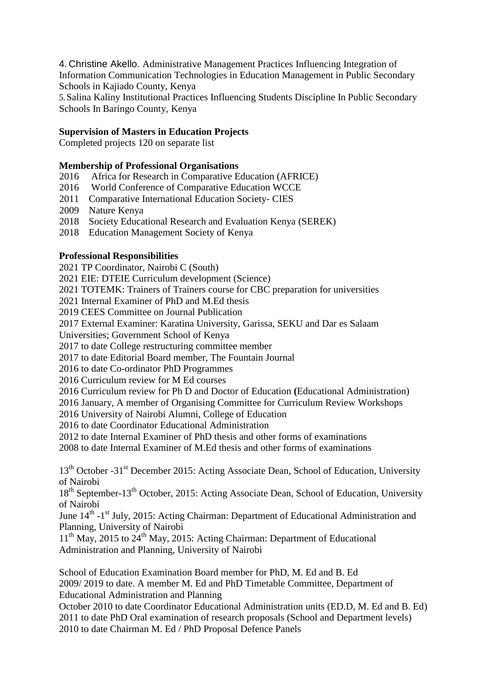4. Christine Akello. Administrative Management Practices Influencing Integration of Information Communication Technologies in Education Management in Public Secondary Schools in Kajiado County, Kenya

5.Salina Kaliny Institutional Practices Influencing Students Discipline In Public Secondary Schools In Baringo County, Kenya

#### **Supervision of Masters in Education Projects**

Completed projects 120 on separate list

# **Membership of Professional Organisations**<br>2016 • Africa for Research in Comparative E

- Africa for Research in Comparative Education (AFRICE)
- 2016 World Conference of Comparative Education WCCE
- 2011 Comparative International Education Society- CIES
- 2009 Nature Kenya
- 2018 Society Educational Research and Evaluation Kenya (SEREK)
- 2018 Education Management Society of Kenya

#### **Professional Responsibilities**

2021 TP Coordinator, Nairobi C (South)

2021 EIE: DTEIE Curriculum development (Science)

2021 TOTEMK: Trainers of Trainers course for CBC preparation for universities

2021 Internal Examiner of PhD and M.Ed thesis

2019 CEES Committee on Journal Publication

2017 External Examiner: Karatina University, Garissa, SEKU and Dar es Salaam

Universities; Government School of Kenya

2017 to date College restructuring committee member

2017 to date Editorial Board member, The Fountain Journal

2016 to date Co-ordinator PhD Programmes

2016 Curriculum review for M Ed courses

2016 Curriculum review for Ph D and Doctor of Education **(**Educational Administration)

2016 January, A member of Organising Committee for Curriculum Review Workshops

2016 University of Nairobi Alumni, College of Education

2016 to date Coordinator Educational Administration

2012 to date Internal Examiner of PhD thesis and other forms of examinations

2008 to date Internal Examiner of M.Ed thesis and other forms of examinations

13<sup>th</sup> October -31<sup>st</sup> December 2015: Acting Associate Dean, School of Education, University of Nairobi

18<sup>th</sup> September-13<sup>th</sup> October, 2015: Acting Associate Dean, School of Education, University of Nairobi

June 14<sup>th</sup> -1<sup>st</sup> July, 2015: Acting Chairman: Department of Educational Administration and Planning, University of Nairobi

11<sup>th</sup> May, 2015 to 24<sup>th</sup> May, 2015: Acting Chairman: Department of Educational Administration and Planning, University of Nairobi

School of Education Examination Board member for PhD, M. Ed and B. Ed 2009/ 2019 to date. A member M. Ed and PhD Timetable Committee, Department of Educational Administration and Planning

October 2010 to date Coordinator Educational Administration units (ED.D, M. Ed and B. Ed) 2011 to date PhD Oral examination of research proposals (School and Department levels) 2010 to date Chairman M. Ed / PhD Proposal Defence Panels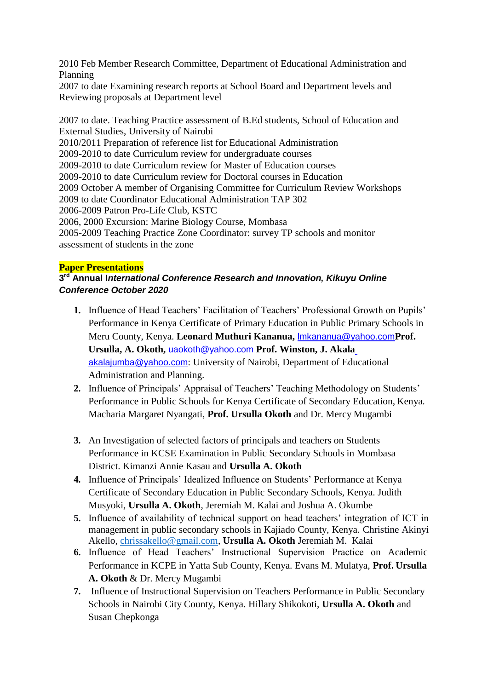2010 Feb Member Research Committee, Department of Educational Administration and Planning

2007 to date Examining research reports at School Board and Department levels and Reviewing proposals at Department level

2007 to date. Teaching Practice assessment of B.Ed students, School of Education and External Studies, University of Nairobi 2010/2011 Preparation of reference list for Educational Administration 2009-2010 to date Curriculum review for undergraduate courses 2009-2010 to date Curriculum review for Master of Education courses 2009-2010 to date Curriculum review for Doctoral courses in Education 2009 October A member of Organising Committee for Curriculum Review Workshops 2009 to date Coordinator Educational Administration TAP 302 2006-2009 Patron Pro-Life Club, KSTC 2006, 2000 Excursion: Marine Biology Course, Mombasa 2005-2009 Teaching Practice Zone Coordinator: survey TP schools and monitor assessment of students in the zone

# **Paper Presentations**

# **3 rd Annual I***nternational Conference Research and Innovation, Kikuyu Online Conference October 2020*

- **1.** Influence of Head Teachers' Facilitation of Teachers' Professional Growth on Pupils' Performance in Kenya Certificate of Primary Education in Public Primary Schools in Meru County, Kenya. **Leonard Muthuri Kananua,** [lmkananua@yahoo.com](mailto:lmkananua@yahoo.com)**Prof. Ursulla, A. Okoth,** [uaokoth@yahoo.com](mailto:uaokoth@yahoo.com) **Prof. Winston, J. Akal[a](mailto:akalajumba@yahoo.com)** [akalajumba@yahoo.com](mailto:akalajumba@yahoo.com): University of Nairobi, Department of Educational Administration and Planning.
- **2.** Influence of Principals' Appraisal of Teachers' Teaching Methodology on Students' Performance in Public Schools for Kenya Certificate of Secondary Education, Kenya. Macharia Margaret Nyangati, **Prof. Ursulla Okoth** and Dr. Mercy Mugambi
- **3.** An Investigation of selected factors of principals and teachers on Students Performance in KCSE Examination in Public Secondary Schools in Mombasa District. Kimanzi Annie Kasau and **Ursulla A. Okoth**
- **4.** Influence of Principals' Idealized Influence on Students' Performance at Kenya Certificate of Secondary Education in Public Secondary Schools, Kenya. Judith Musyoki, **Ursulla A. Okoth**, Jeremiah M. Kalai and Joshua A. Okumbe
- **5.** Influence of availability of technical support on head teachers' integration of ICT in management in public secondary schools in Kajiado County, Kenya. Christine Akinyi Akello, [chrissakello@gmail.com,](mailto:chrissakello@gmail.com) **Ursulla A. Okoth** Jeremiah M. Kalai
- **6.** Influence of Head Teachers' Instructional Supervision Practice on Academic Performance in KCPE in Yatta Sub County, Kenya. Evans M. Mulatya, **Prof. Ursulla A. Okoth** & Dr. Mercy Mugambi
- **7.** Influence of Instructional Supervision on Teachers Performance in Public Secondary Schools in Nairobi City County, Kenya. Hillary Shikokoti, **Ursulla A. Okoth** and Susan Chepkonga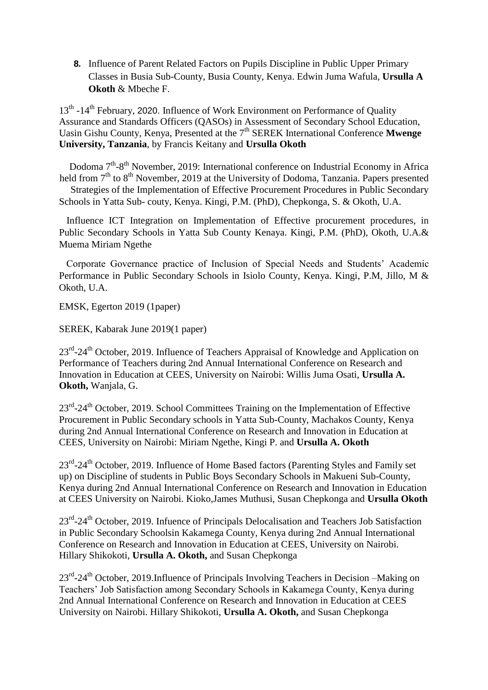**8.** Influence of Parent Related Factors on Pupils Discipline in Public Upper Primary Classes in Busia Sub-County, Busia County, Kenya. Edwin Juma Wafula, **Ursulla A Okoth** & Mbeche F.

13<sup>th</sup> -14<sup>th</sup> February, 2020. Influence of Work Environment on Performance of Quality Assurance and Standards Officers (QASOs) in Assessment of Secondary School Education, Uasin Gishu County, Kenya, Presented at the 7<sup>th</sup> SEREK International Conference **Mwenge University, Tanzania**, by Francis Keitany and **Ursulla Okoth**

Dodoma 7<sup>th</sup>-8<sup>th</sup> November, 2019: International conference on Industrial Economy in Africa held from 7<sup>th</sup> to 8<sup>th</sup> November, 2019 at the University of Dodoma, Tanzania. Papers presented

Strategies of the Implementation of Effective Procurement Procedures in Public Secondary Schools in Yatta Sub- couty, Kenya. Kingi, P.M. (PhD), Chepkonga, S. & Okoth, U.A.

Influence ICT Integration on Implementation of Effective procurement procedures, in Public Secondary Schools in Yatta Sub County Kenaya. Kingi, P.M. (PhD), Okoth, U.A.& Muema Miriam Ngethe

Corporate Governance practice of Inclusion of Special Needs and Students' Academic Performance in Public Secondary Schools in Isiolo County, Kenya. Kingi, P.M, Jillo, M & Okoth, U.A.

EMSK, Egerton 2019 (1paper)

SEREK, Kabarak June 2019(1 paper)

23<sup>rd</sup>-24<sup>th</sup> October, 2019. Influence of Teachers Appraisal of Knowledge and Application on Performance of Teachers during 2nd Annual International Conference on Research and Innovation in Education at CEES, University on Nairobi: Willis Juma Osati, **Ursulla A. Okoth,** Wanjala, G.

23<sup>rd</sup>-24<sup>th</sup> October, 2019. School Committees Training on the Implementation of Effective Procurement in Public Secondary schools in Yatta Sub-County, Machakos County, Kenya during 2nd Annual International Conference on Research and Innovation in Education at CEES, University on Nairobi: Miriam Ngethe, Kingi P. and **Ursulla A. Okoth**

23<sup>rd</sup>-24<sup>th</sup> October, 2019. Influence of Home Based factors (Parenting Styles and Family set up) on Discipline of students in Public Boys Secondary Schools in Makueni Sub-County, Kenya during 2nd Annual International Conference on Research and Innovation in Education at CEES University on Nairobi. Kioko,James Muthusi, Susan Chepkonga and **Ursulla Okoth**

23<sup>rd</sup>-24<sup>th</sup> October, 2019. Infuence of Principals Delocalisation and Teachers Job Satisfaction in Public Secondary Schoolsin Kakamega County, Kenya during 2nd Annual International Conference on Research and Innovation in Education at CEES, University on Nairobi. Hillary Shikokoti, **Ursulla A. Okoth,** and Susan Chepkonga

23<sup>rd</sup>-24<sup>th</sup> October, 2019.Influence of Principals Involving Teachers in Decision –Making on Teachers' Job Satisfaction among Secondary Schools in Kakamega County, Kenya during 2nd Annual International Conference on Research and Innovation in Education at CEES University on Nairobi. Hillary Shikokoti, **Ursulla A. Okoth,** and Susan Chepkonga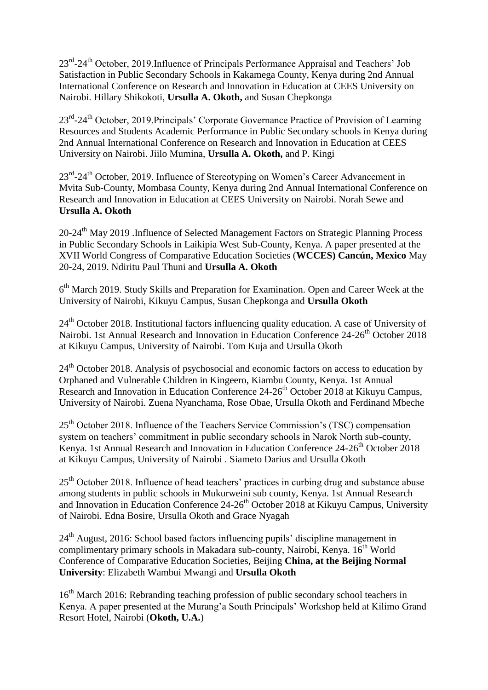23<sup>rd</sup>-24<sup>th</sup> October, 2019.Influence of Principals Performance Appraisal and Teachers' Job Satisfaction in Public Secondary Schools in Kakamega County, Kenya during 2nd Annual International Conference on Research and Innovation in Education at CEES University on Nairobi. Hillary Shikokoti, **Ursulla A. Okoth,** and Susan Chepkonga

23<sup>rd</sup>-24<sup>th</sup> October, 2019.Principals' Corporate Governance Practice of Provision of Learning Resources and Students Academic Performance in Public Secondary schools in Kenya during 2nd Annual International Conference on Research and Innovation in Education at CEES University on Nairobi. Jiilo Mumina, **Ursulla A. Okoth,** and P. Kingi

23<sup>rd</sup>-24<sup>th</sup> October, 2019. Influence of Stereotyping on Women's Career Advancement in Mvita Sub-County, Mombasa County, Kenya during 2nd Annual International Conference on Research and Innovation in Education at CEES University on Nairobi. Norah Sewe and **Ursulla A. Okoth**

20-24<sup>th</sup> May 2019 .Influence of Selected Management Factors on Strategic Planning Process in Public Secondary Schools in Laikipia West Sub-County, Kenya. A paper presented at the XVII World Congress of Comparative Education Societies (**WCCES) Cancún, Mexico** May 20-24, 2019. Ndiritu Paul Thuni and **Ursulla A. Okoth**

6<sup>th</sup> March 2019. Study Skills and Preparation for Examination. Open and Career Week at the University of Nairobi, Kikuyu Campus, Susan Chepkonga and **Ursulla Okoth**

24<sup>th</sup> October 2018. Institutional factors influencing quality education. A case of University of Nairobi. 1st Annual Research and Innovation in Education Conference 24-26<sup>th</sup> October 2018 at Kikuyu Campus, University of Nairobi. Tom Kuja and Ursulla Okoth

24<sup>th</sup> October 2018. Analysis of psychosocial and economic factors on access to education by Orphaned and Vulnerable Children in Kingeero, Kiambu County, Kenya. 1st Annual Research and Innovation in Education Conference 24-26<sup>th</sup> October 2018 at Kikuyu Campus, University of Nairobi. Zuena Nyanchama, Rose Obae, Ursulla Okoth and Ferdinand Mbeche

25th October 2018. Influence of the Teachers Service Commission's (TSC) compensation system on teachers' commitment in public secondary schools in Narok North sub-county, Kenya. 1st Annual Research and Innovation in Education Conference 24-26<sup>th</sup> October 2018 at Kikuyu Campus, University of Nairobi . Siameto Darius and Ursulla Okoth

25<sup>th</sup> October 2018. Influence of head teachers' practices in curbing drug and substance abuse among students in public schools in Mukurweini sub county, Kenya. 1st Annual Research and Innovation in Education Conference  $24-26$ <sup>th</sup> October 2018 at Kikuyu Campus, University of Nairobi. Edna Bosire, Ursulla Okoth and Grace Nyagah

24<sup>th</sup> August, 2016: School based factors influencing pupils' discipline management in complimentary primary schools in Makadara sub-county, Nairobi, Kenya. 16<sup>th</sup> World Conference of Comparative Education Societies, Beijing **China, at the Beijing Normal University**: Elizabeth Wambui Mwangi and **Ursulla Okoth**

16<sup>th</sup> March 2016: Rebranding teaching profession of public secondary school teachers in Kenya. A paper presented at the Murang'a South Principals' Workshop held at Kilimo Grand Resort Hotel, Nairobi (**Okoth, U.A.**)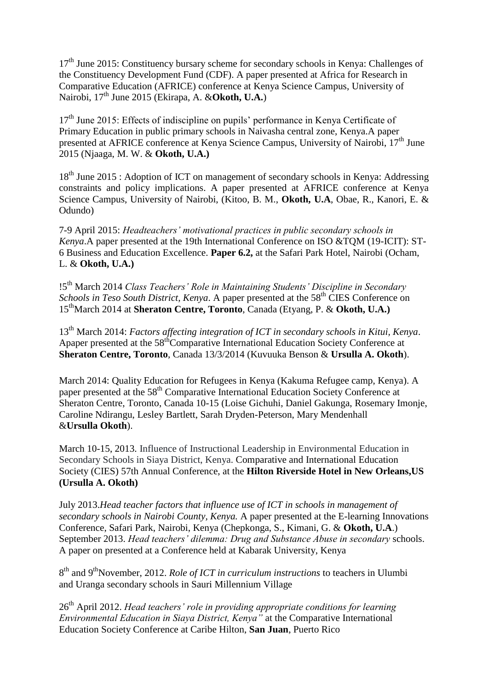$17<sup>th</sup>$  June 2015: Constituency bursary scheme for secondary schools in Kenya: Challenges of the Constituency Development Fund (CDF). A paper presented at Africa for Research in Comparative Education (AFRICE) conference at Kenya Science Campus, University of Nairobi, 17<sup>th</sup> June 2015 (Ekirapa, A. &**Okoth, U.A.**)

17<sup>th</sup> June 2015: Effects of indiscipline on pupils' performance in Kenya Certificate of Primary Education in public primary schools in Naivasha central zone, Kenya.A paper presented at AFRICE conference at Kenya Science Campus, University of Nairobi, 17<sup>th</sup> June 2015 (Njaaga, M. W. & **Okoth, U.A.)**

18<sup>th</sup> June 2015 : Adoption of ICT on management of secondary schools in Kenya: Addressing constraints and policy implications. A paper presented at AFRICE conference at Kenya Science Campus, University of Nairobi, (Kitoo, B. M., **Okoth, U.A**, Obae, R., Kanori, E. & Odundo)

7-9 April 2015: *Headteachers' motivational practices in public secondary schools in Kenya*.A paper presented at the 19th International Conference on ISO &TQM (19-ICIT): ST-6 Business and Education Excellence. **Paper 6.2,** at the Safari Park Hotel, Nairobi (Ocham, L. & **Okoth, U.A.)**

!5th March 2014 *Class Teachers' Role in Maintaining Students' Discipline in Secondary Schools in Teso South District, Kenya.* A paper presented at the 58<sup>th</sup> CIES Conference on 15thMarch 2014 at **Sheraton Centre, Toronto**, Canada (Etyang, P. & **Okoth, U.A.)**

13th March 2014: *Factors affecting integration of ICT in secondary schools in Kitui, Kenya*. Apaper presented at the 58<sup>th</sup>Comparative International Education Society Conference at **Sheraton Centre, Toronto**, Canada 13/3/2014 (Kuvuuka Benson & **Ursulla A. Okoth**).

March 2014: Quality Education for Refugees in Kenya (Kakuma Refugee camp, Kenya). A paper presented at the 58<sup>th</sup> Comparative International Education Society Conference at Sheraton Centre, Toronto, Canada 10-15 (Loise Gichuhi, Daniel Gakunga, Rosemary Imonje, Caroline Ndirangu, Lesley Bartlett, Sarah Dryden-Peterson, Mary Mendenhall &**Ursulla Okoth**).

March 10-15, 2013. Influence of Instructional Leadership in Environmental Education in Secondary Schools in Siaya District, Kenya. Comparative and International Education Society (CIES) 57th Annual Conference, at the **Hilton Riverside Hotel in New Orleans,US (Ursulla A. Okoth)**

July 2013.*Head teacher factors that influence use of ICT in schools in management of secondary schools in Nairobi County, Kenya.* A paper presented at the E-learning Innovations Conference, Safari Park, Nairobi, Kenya (Chepkonga, S., Kimani, G. & **Okoth, U.A**.) September 2013. *Head teachers' dilemma: Drug and Substance Abuse in secondary* schools. A paper on presented at a Conference held at Kabarak University, Kenya

8 th and 9thNovember, 2012. *Role of ICT in curriculum instructions* to teachers in Ulumbi and Uranga secondary schools in Sauri Millennium Village

26<sup>th</sup> April 2012. *Head teachers' role in providing appropriate conditions for learning Environmental Education in Siaya District, Kenya"* at the Comparative International Education Society Conference at Caribe Hilton, **San Juan**, Puerto Rico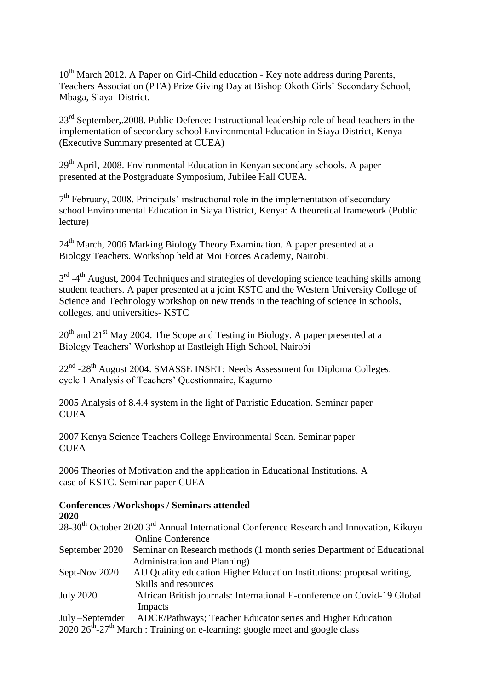10<sup>th</sup> March 2012. A Paper on Girl-Child education - Key note address during Parents, Teachers Association (PTA) Prize Giving Day at Bishop Okoth Girls' Secondary School, Mbaga, Siaya District.

23<sup>rd</sup> September,.2008. Public Defence: Instructional leadership role of head teachers in the implementation of secondary school Environmental Education in Siaya District, Kenya (Executive Summary presented at CUEA)

29<sup>th</sup> April, 2008. Environmental Education in Kenyan secondary schools. A paper presented at the Postgraduate Symposium, Jubilee Hall CUEA.

7<sup>th</sup> February, 2008. Principals' instructional role in the implementation of secondary school Environmental Education in Siaya District, Kenya: A theoretical framework (Public lecture)

24<sup>th</sup> March, 2006 Marking Biology Theory Examination. A paper presented at a Biology Teachers. Workshop held at Moi Forces Academy, Nairobi.

3<sup>rd</sup> -4<sup>th</sup> August, 2004 Techniques and strategies of developing science teaching skills among student teachers. A paper presented at a joint KSTC and the Western University College of Science and Technology workshop on new trends in the teaching of science in schools, colleges, and universities- KSTC

 $20<sup>th</sup>$  and  $21<sup>st</sup>$  May 2004. The Scope and Testing in Biology. A paper presented at a Biology Teachers' Workshop at Eastleigh High School, Nairobi

22<sup>nd</sup> -28<sup>th</sup> August 2004. SMASSE INSET: Needs Assessment for Diploma Colleges. cycle 1 Analysis of Teachers' Questionnaire, Kagumo

2005 Analysis of 8.4.4 system in the light of Patristic Education. Seminar paper **CUEA** 

2007 Kenya Science Teachers College Environmental Scan. Seminar paper CUEA

2006 Theories of Motivation and the application in Educational Institutions. A case of KSTC. Seminar paper CUEA

# **Conferences /Workshops / Seminars attended**

**2020**

|                  | 28-30 <sup>th</sup> October 2020 3 <sup>rd</sup> Annual International Conference Research and Innovation, Kikuyu |
|------------------|------------------------------------------------------------------------------------------------------------------|
|                  | <b>Online Conference</b>                                                                                         |
| September 2020   | Seminar on Research methods (1 month series Department of Educational                                            |
|                  | Administration and Planning)                                                                                     |
| Sept-Nov 2020    | AU Quality education Higher Education Institutions: proposal writing,                                            |
|                  | Skills and resources                                                                                             |
| <b>July 2020</b> | African British journals: International E-conference on Covid-19 Global                                          |
|                  | Impacts                                                                                                          |
| July-Septemder   | ADCE/Pathways; Teacher Educator series and Higher Education                                                      |

 $2020 26<sup>th</sup> - 27<sup>th</sup>$  March : Training on e-learning: google meet and google class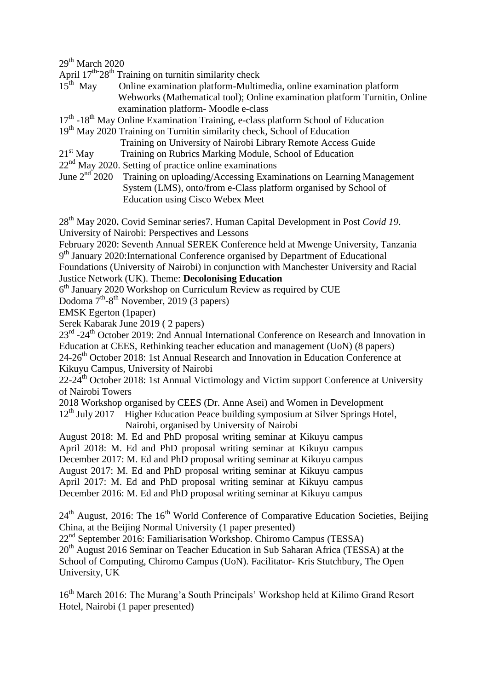$29<sup>th</sup>$  March 2020

April 17<sup>th-</sup>28<sup>th</sup> Training on turnitin similarity check

- $15^{th}$  May Online examination platform-Multimedia, online examination platform Webworks (Mathematical tool); Online examination platform Turnitin, Online examination platform- Moodle e-class
- 17<sup>th</sup> -18<sup>th</sup> May Online Examination Training, e-class platform School of Education
- 19<sup>th</sup> May 2020 Training on Turnitin similarity check, School of Education
	- Training on University of Nairobi Library Remote Access Guide
- 21<sup>st</sup> May Training on Rubrics Marking Module, School of Education
- $22<sup>nd</sup>$  May 2020. Setting of practice online examinations
- June  $2<sup>nd</sup>$  2020 Training on uploading/Accessing Examinations on Learning Management System (LMS), onto/from e-Class platform organised by School of Education using Cisco Webex Meet

28th May 2020**.** Covid Seminar series7. Human Capital Development in Post *Covid 19*. University of Nairobi: Perspectives and Lessons

February 2020: Seventh Annual SEREK Conference held at Mwenge University, Tanzania 9<sup>th</sup> January 2020: International Conference organised by Department of Educational

Foundations (University of Nairobi) in conjunction with Manchester University and Racial Justice Network (UK). Theme: **Decolonising Education**

6<sup>th</sup> January 2020 Workshop on Curriculum Review as required by CUE

Dodoma 7<sup>th</sup>-8<sup>th</sup> November, 2019 (3 papers)

EMSK Egerton (1paper)

Serek Kabarak June 2019 ( 2 papers)

23<sup>rd</sup> -24<sup>th</sup> October 2019: 2nd Annual International Conference on Research and Innovation in Education at CEES, Rethinking teacher education and management (UoN) (8 papers) 24-26<sup>th</sup> October 2018: 1st Annual Research and Innovation in Education Conference at

Kikuyu Campus, University of Nairobi

22-24<sup>th</sup> October 2018: 1st Annual Victimology and Victim support Conference at University of Nairobi Towers

2018 Workshop organised by CEES (Dr. Anne Asei) and Women in Development

 $12<sup>th</sup>$  July 2017 Higher Education Peace building symposium at Silver Springs Hotel,

Nairobi, organised by University of Nairobi

August 2018: M. Ed and PhD proposal writing seminar at Kikuyu campus April 2018: M. Ed and PhD proposal writing seminar at Kikuyu campus December 2017: M. Ed and PhD proposal writing seminar at Kikuyu campus August 2017: M. Ed and PhD proposal writing seminar at Kikuyu campus April 2017: M. Ed and PhD proposal writing seminar at Kikuyu campus December 2016: M. Ed and PhD proposal writing seminar at Kikuyu campus

 $24<sup>th</sup>$  August, 2016: The 16<sup>th</sup> World Conference of Comparative Education Societies, Beijing China, at the Beijing Normal University (1 paper presented)

22nd September 2016: Familiarisation Workshop. Chiromo Campus (TESSA)

20<sup>th</sup> August 2016 Seminar on Teacher Education in Sub Saharan Africa (TESSA) at the School of Computing, Chiromo Campus (UoN). Facilitator- Kris Stutchbury, The Open University, UK

16<sup>th</sup> March 2016: The Murang'a South Principals' Workshop held at Kilimo Grand Resort Hotel, Nairobi (1 paper presented)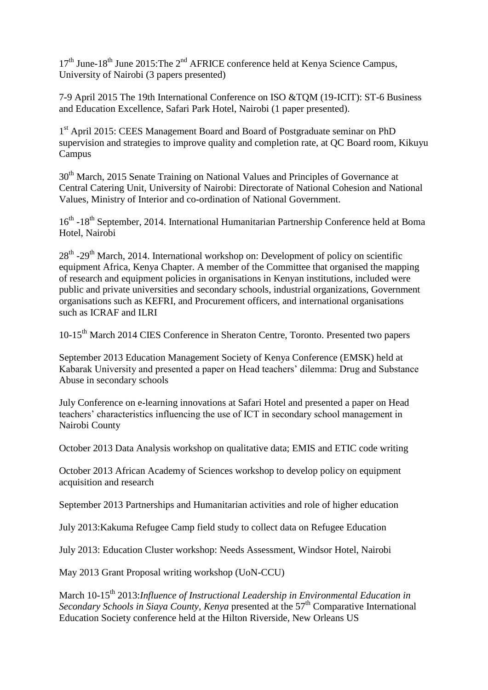$17<sup>th</sup>$  June-18<sup>th</sup> June 2015: The 2<sup>nd</sup> AFRICE conference held at Kenya Science Campus, University of Nairobi (3 papers presented)

7-9 April 2015 The 19th International Conference on ISO &TQM (19-ICIT): ST-6 Business and Education Excellence, Safari Park Hotel, Nairobi (1 paper presented).

1<sup>st</sup> April 2015: CEES Management Board and Board of Postgraduate seminar on PhD supervision and strategies to improve quality and completion rate, at QC Board room, Kikuyu Campus

30<sup>th</sup> March, 2015 Senate Training on National Values and Principles of Governance at Central Catering Unit, University of Nairobi: Directorate of National Cohesion and National Values, Ministry of Interior and co-ordination of National Government.

16<sup>th</sup> -18<sup>th</sup> September, 2014. International Humanitarian Partnership Conference held at Boma Hotel, Nairobi

28<sup>th</sup> -29<sup>th</sup> March, 2014. International workshop on: Development of policy on scientific equipment Africa, Kenya Chapter. A member of the Committee that organised the mapping of research and equipment policies in organisations in Kenyan institutions, included were public and private universities and secondary schools, industrial organizations, Government organisations such as KEFRI, and Procurement officers, and international organisations such as ICRAF and ILRI

10-15<sup>th</sup> March 2014 CIES Conference in Sheraton Centre, Toronto. Presented two papers

September 2013 Education Management Society of Kenya Conference (EMSK) held at Kabarak University and presented a paper on Head teachers' dilemma: Drug and Substance Abuse in secondary schools

July Conference on e-learning innovations at Safari Hotel and presented a paper on Head teachers' characteristics influencing the use of ICT in secondary school management in Nairobi County

October 2013 Data Analysis workshop on qualitative data; EMIS and ETIC code writing

October 2013 African Academy of Sciences workshop to develop policy on equipment acquisition and research

September 2013 Partnerships and Humanitarian activities and role of higher education

July 2013:Kakuma Refugee Camp field study to collect data on Refugee Education

July 2013: Education Cluster workshop: Needs Assessment, Windsor Hotel, Nairobi

May 2013 Grant Proposal writing workshop (UoN-CCU)

March 10-15<sup>th</sup> 2013:*Influence of Instructional Leadership in Environmental Education in Secondary Schools in Siaya County, Kenya* presented at the 57<sup>th</sup> Comparative International Education Society conference held at the Hilton Riverside, New Orleans US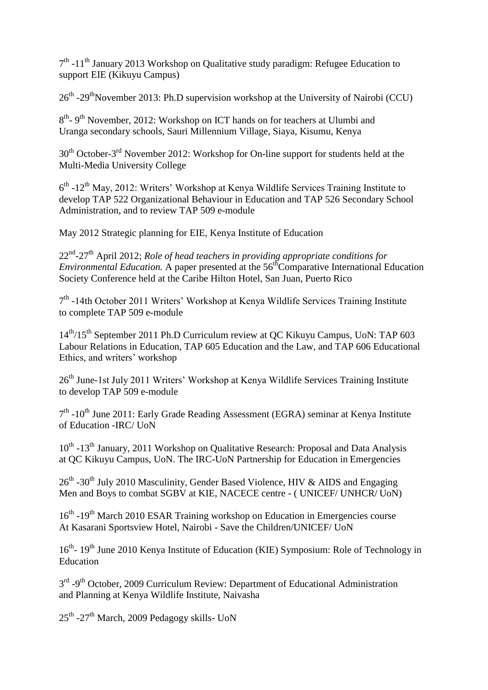7<sup>th</sup> -11<sup>th</sup> January 2013 Workshop on Qualitative study paradigm: Refugee Education to support EIE (Kikuyu Campus)

26<sup>th</sup> -29<sup>th</sup>November 2013: Ph.D supervision workshop at the University of Nairobi (CCU)

8<sup>th</sup>-9<sup>th</sup> November, 2012: Workshop on ICT hands on for teachers at Ulumbi and Uranga secondary schools, Sauri Millennium Village, Siaya, Kisumu, Kenya

30<sup>th</sup> October-3<sup>rd</sup> November 2012: Workshop for On-line support for students held at the Multi-Media University College

6<sup>th</sup> -12<sup>th</sup> May, 2012: Writers' Workshop at Kenya Wildlife Services Training Institute to develop TAP 522 Organizational Behaviour in Education and TAP 526 Secondary School Administration, and to review TAP 509 e-module

May 2012 Strategic planning for EIE, Kenya Institute of Education

22nd -27th April 2012; *Role of head teachers in providing appropriate conditions for Environmental Education.* A paper presented at the 56<sup>th</sup>Comparative International Education Society Conference held at the Caribe Hilton Hotel, San Juan, Puerto Rico

7<sup>th</sup> -14th October 2011 Writers' Workshop at Kenya Wildlife Services Training Institute to complete TAP 509 e-module

 $14<sup>th</sup>/15<sup>th</sup>$  September 2011 Ph.D Curriculum review at QC Kikuyu Campus, UoN: TAP 603 Labour Relations in Education, TAP 605 Education and the Law, and TAP 606 Educational Ethics, and writers' workshop

26<sup>th</sup> June-1st July 2011 Writers' Workshop at Kenya Wildlife Services Training Institute to develop TAP 509 e-module

7<sup>th</sup> -10<sup>th</sup> June 2011: Early Grade Reading Assessment (EGRA) seminar at Kenya Institute of Education -IRC/ UoN

10<sup>th</sup> -13<sup>th</sup> January, 2011 Workshop on Qualitative Research: Proposal and Data Analysis at QC Kikuyu Campus, UoN. The IRC-UoN Partnership for Education in Emergencies

 $26<sup>th</sup>$  -30<sup>th</sup> July 2010 Masculinity, Gender Based Violence, HIV & AIDS and Engaging Men and Boys to combat SGBV at KIE, NACECE centre - ( UNICEF/ UNHCR/ UoN)

16<sup>th</sup> -19<sup>th</sup> March 2010 ESAR Training workshop on Education in Emergencies course At Kasarani Sportsview Hotel, Nairobi - Save the Children/UNICEF/ UoN

16<sup>th</sup>- 19<sup>th</sup> June 2010 Kenya Institute of Education (KIE) Symposium: Role of Technology in Education

3<sup>rd</sup> -9<sup>th</sup> October, 2009 Curriculum Review: Department of Educational Administration and Planning at Kenya Wildlife Institute, Naivasha

25<sup>th</sup> -27<sup>th</sup> March, 2009 Pedagogy skills- UoN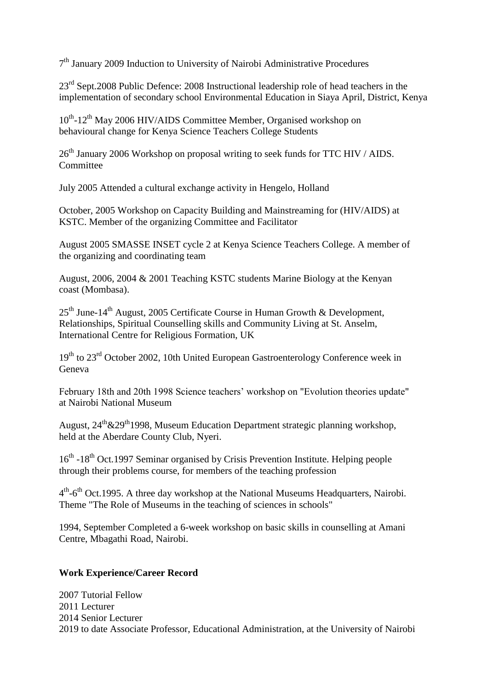7<sup>th</sup> January 2009 Induction to University of Nairobi Administrative Procedures

23<sup>rd</sup> Sept.2008 Public Defence: 2008 Instructional leadership role of head teachers in the implementation of secondary school Environmental Education in Siaya April, District, Kenya

10<sup>th</sup>-12<sup>th</sup> May 2006 HIV/AIDS Committee Member, Organised workshop on behavioural change for Kenya Science Teachers College Students

26<sup>th</sup> January 2006 Workshop on proposal writing to seek funds for TTC HIV / AIDS. Committee

July 2005 Attended a cultural exchange activity in Hengelo, Holland

October, 2005 Workshop on Capacity Building and Mainstreaming for (HIV/AIDS) at KSTC. Member of the organizing Committee and Facilitator

August 2005 SMASSE INSET cycle 2 at Kenya Science Teachers College. A member of the organizing and coordinating team

August, 2006, 2004 & 2001 Teaching KSTC students Marine Biology at the Kenyan coast (Mombasa).

 $25<sup>th</sup>$  June-14<sup>th</sup> August, 2005 Certificate Course in Human Growth & Development, Relationships, Spiritual Counselling skills and Community Living at St. Anselm, International Centre for Religious Formation, UK

 $19<sup>th</sup>$  to  $23<sup>rd</sup>$  October 2002, 10th United European Gastroenterology Conference week in Geneva

February 18th and 20th 1998 Science teachers' workshop on "Evolution theories update" at Nairobi National Museum

August,  $24^{\text{th}} \& 29^{\text{th}} 1998$ , Museum Education Department strategic planning workshop, held at the Aberdare County Club, Nyeri.

16<sup>th</sup> -18<sup>th</sup> Oct.1997 Seminar organised by Crisis Prevention Institute. Helping people through their problems course, for members of the teaching profession

4<sup>th</sup>-6<sup>th</sup> Oct.1995. A three day workshop at the National Museums Headquarters, Nairobi. Theme "The Role of Museums in the teaching of sciences in schools"

1994, September Completed a 6-week workshop on basic skills in counselling at Amani Centre, Mbagathi Road, Nairobi.

#### **Work Experience/Career Record**

2007 Tutorial Fellow 2011 Lecturer 2014 Senior Lecturer 2019 to date Associate Professor, Educational Administration, at the University of Nairobi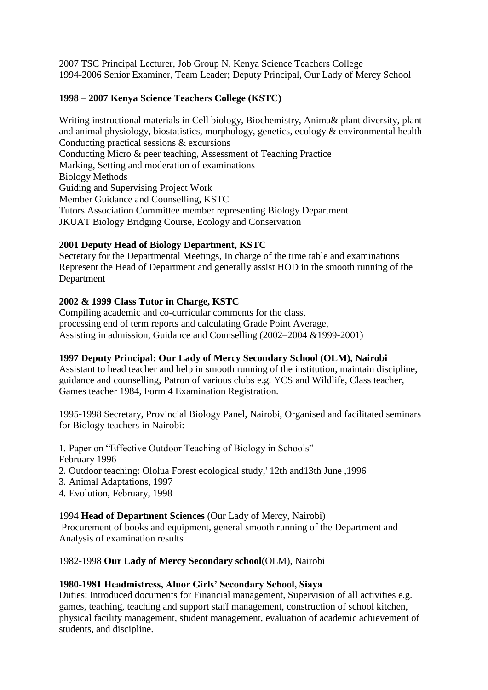2007 TSC Principal Lecturer, Job Group N, Kenya Science Teachers College 1994-2006 Senior Examiner, Team Leader; Deputy Principal, Our Lady of Mercy School

# **1998 – 2007 Kenya Science Teachers College (KSTC)**

Writing instructional materials in Cell biology, Biochemistry, Anima& plant diversity, plant and animal physiology, biostatistics, morphology, genetics, ecology & environmental health Conducting practical sessions & excursions Conducting Micro & peer teaching, Assessment of Teaching Practice Marking, Setting and moderation of examinations Biology Methods Guiding and Supervising Project Work Member Guidance and Counselling, KSTC Tutors Association Committee member representing Biology Department JKUAT Biology Bridging Course, Ecology and Conservation

# **2001 Deputy Head of Biology Department, KSTC**

Secretary for the Departmental Meetings, In charge of the time table and examinations Represent the Head of Department and generally assist HOD in the smooth running of the Department

# **2002 & 1999 Class Tutor in Charge, KSTC**

Compiling academic and co-curricular comments for the class, processing end of term reports and calculating Grade Point Average, Assisting in admission, Guidance and Counselling (2002–2004 &1999-2001)

# **1997 Deputy Principal: Our Lady of Mercy Secondary School (OLM), Nairobi**

Assistant to head teacher and help in smooth running of the institution, maintain discipline, guidance and counselling, Patron of various clubs e.g. YCS and Wildlife, Class teacher, Games teacher 1984, Form 4 Examination Registration.

1995-1998 Secretary, Provincial Biology Panel, Nairobi, Organised and facilitated seminars for Biology teachers in Nairobi:

1. Paper on "Effective Outdoor Teaching of Biology in Schools"

February 1996

- 2. Outdoor teaching: Ololua Forest ecological study,' 12th and13th June ,1996
- 3. Animal Adaptations, 1997
- 4. Evolution, February, 1998

# 1994 **Head of Department Sciences** (Our Lady of Mercy, Nairobi)

Procurement of books and equipment, general smooth running of the Department and Analysis of examination results

1982-1998 **Our Lady of Mercy Secondary school**(OLM), Nairobi

# **1980-1981 Headmistress, Aluor Girls' Secondary School, Siaya**

Duties: Introduced documents for Financial management, Supervision of all activities e.g. games, teaching, teaching and support staff management, construction of school kitchen, physical facility management, student management, evaluation of academic achievement of students, and discipline.